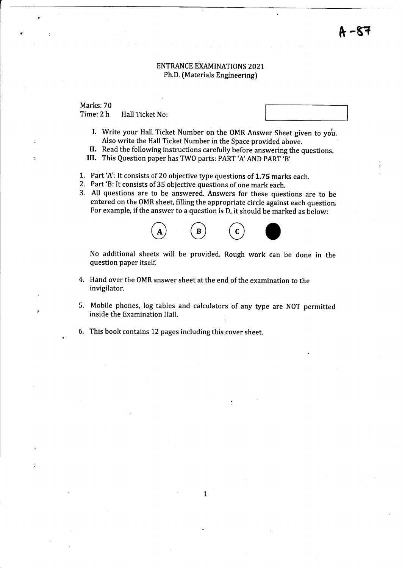# · –87

### ENTRANCE EXAMINATIONS 202 1 Ph,D. [Materials Engineering)

Marks: 70 Time: 2 h Hall Ticket No:

- I. Write your Hall Ticket Number on the OMR Answer Sheet given to you. Also write the Hall Ticket Number in the Space provided above.
- II. Read the following instructions carefully before answering the questions.
- III. This Question paper has TWO parts: PART'A'AND PART'B'
- 1. Part 'A': It consists of 20 objective type questions of L.7S marks each.
- 2. Part 'B: It consists of 35 objective questions of one mark each.
- 3. All questions are to be answered. Answers for these questions are to be entered on the OMR sheet, filling the appropriate circle against each question. For example, if the answer to a question is D, it should be marked as below:



No additional sheets will be provided. Rough work can be done in the question paper itself.

- 4. Hand over the OMR answer sheet at the end of the examination to the invigilator.
- 5. Mobile phones, log tables and calculators of any type are NOT permitted inside the Examination Hall.
- 6. This book contains 12 pages including this cover sheet.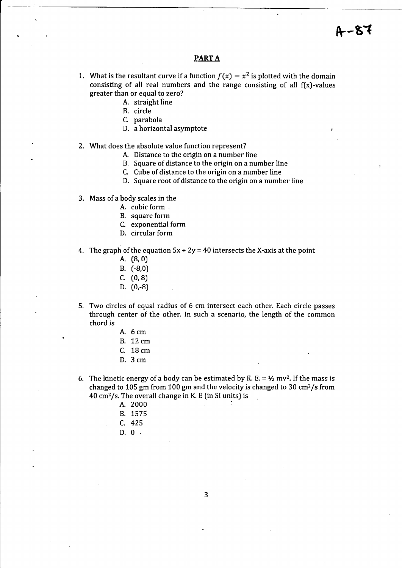### PART A

- 1. What is the resultant curve if a function  $f(x) = x^2$  is plotted with the domain consisting of all real numbers and the range consisting of all  $f(x)$ -values greater than or equal to zero?
	- A. straight line
	- B. circle
	- C. parabola
	- D. a horizontal asymptote
- What does the absolute value function represent?
	- A. Distance to the origin on a number line
	- B. Square of distance to the origin on a number line
	- C. Cube of distance to the origin on a number line
	- D. Square root of distance to the origin on a number line
- 3. Mass of a body scales in the
	- A. cubic form
	- B. square form
	- C. exponential form
	- D. circular form
- 4.  $\,$  The graph of the equation  $5x$  +  $2y$  = 40 intersects the X-axis at the point
	- A. [8,0)
	- B. (-8,0)
	- $C. (0, 8)$
	- D. (0,-B)
- Two circles of equal radius of 6 cm intersect each other. Each circle passes 5.through center of the other. In such a scenario, the length of the common chord is
	- A. 6cm
	- B. 72 cm
	- C. 18 cm
	- D. 3cm
- The kinetic energy of a body can be estimated by K. E. =  $1/2$  mv<sup>2</sup>. If the mass is changed to 105 gm from 100 gm and the velocity is changed to 30 cm2/s from  $40 \text{ cm}^2/\text{s}$ . The overall change in K. E (in SI units) is
	- A. 2000
	- B. 1575
	- c. <sup>425</sup>
	- D.  $0.$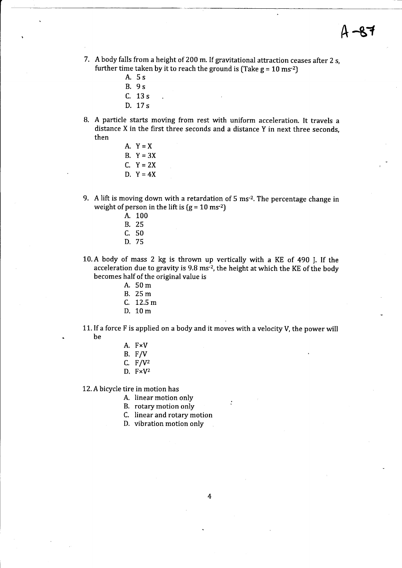- 7. A body falls from a height of 200 m. If gravitational attraction ceases after 2 s, further time taken by it to reach the ground is (Take  $g = 10$  ms<sup>-2</sup>)
	- A. 5s B. 9s C. 13s D. 17s
- A particle starts moving from rest with uniform acceleration. It travels <sup>a</sup> distance X in the first three seconds and a distance Y in next three seconds, then
	- A.  $Y = X$ B.  $Y=3X$ C.  $Y = 2X$ D,  $Y=4X$
- 9. A lift is moving down with a retardation of 5 ms-2. The percentage change in weight of person in the lift is  $(g = 10 \text{ ms}^{-2})$ 
	- A. 100 B. 25
	- c. <sup>50</sup>
	- D. 75
- 10,A body of mass 2 kg is thrown up vertically with a KE of 490 I. If the acceleration due to gravity is 9.8 ms<sup>-2</sup>, the height at which the KE of the body becomes half of the original value is
	- A. 50m
	- B. 25m
	- C. 12.5 m
	- D. 10m
- 11. If a force  $F$  is applied on a body and it moves with a velocity  $V$ , the power will be
	- A. FxV
	- B, F/V
	- C.  $F/V^2$
	- D.  $F \times V^2$

12. A bicycle tire in motion has

- A. linear motion only
- B. rotary motion only
- C. linear and rotary motion
- D. vibration motion only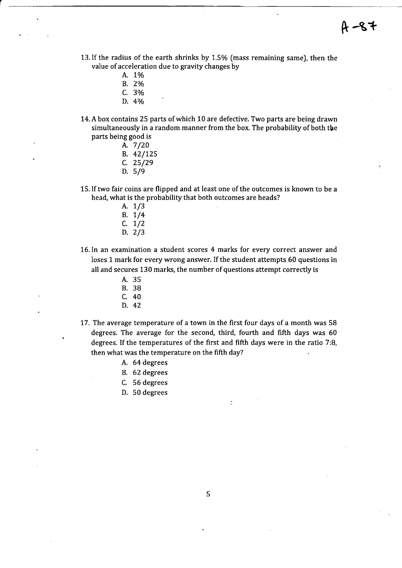- 13. If the radius of the earth shrinks by 1.5% [mass remaining same), then the value of acceleration due to gravity changes by
	- A. 1%
	- B. 2o/o
	- C. 3o/o
	- D. 4%
- 14. A box contains 25 parts of which 10 are defective. Two parts are being drawn simultaneously in a random manner from the box. The probability of both the parts being good is

|    | A. 7/20 |
|----|---------|
| В. | 42/125  |
| C. | 25/29   |
| D. | 5/9     |

- 15.If two fair coins are flipped and at least one of the outcomes is known to be a head, what is the probability that both outcomes are heads?
	- A. 1/3 B. 1/4 c. 1/2 D. 2/3
- 16.In an examination a student scores 4 marks for every correct answer and loses 1 mark for every wrong answer. If the student attempts 60 questions in all and secures 130 marks, the number of questions attempt correctly is
	- A. 35 B. 38 c. <sup>40</sup>
	- D. 42
- 17. The average temperature of a town in the first four days of a month was 58 degrees, The average for the second, third, fourth and fifth days was 60 degrees. If the temperatures of the first and fifth days were in the ratio 7:8, then what was the temperature on the fifth day?
	- A. 64degrees
	- B. 62 degrees
	- C. 56 degrees
	- D. 50 degrees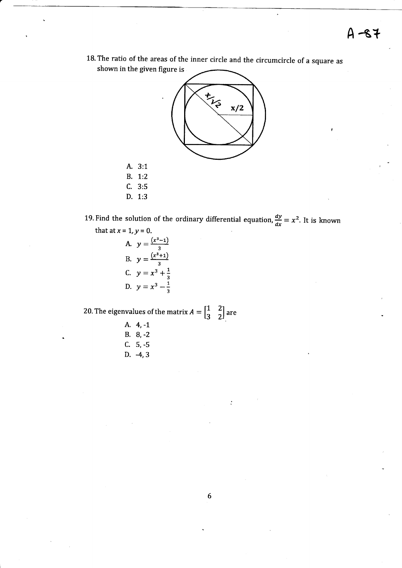18. The ratio of the areas of the inner circle and the circumcircle of a square as shown in the given figure is



A. 3:1

B. 1:2

 $C. 3:5$ 

D. 1:3

19. Find the solution of the ordinary differential equation,  $\frac{dy}{dx} = x^2$ . It is known that at  $x = 1$ ,  $y = 0$ .

A. 
$$
y = \frac{(x^3 - 1)}{3}
$$
  
\nB.  $y = \frac{(x^3 + 1)}{3}$   
\nC.  $y = x^3 + \frac{1}{3}$   
\nD.  $y = x^3 - \frac{1}{3}$ 

20. The eigenvalues of the matrix  $A = \begin{bmatrix} 1 & 2 \\ 3 & 2 \end{bmatrix}$  are

- A. 4, -1 B.  $8, -2$
- $C. 5, -5$
- D.  $-4, 3$

 $\ddot{\cdot}$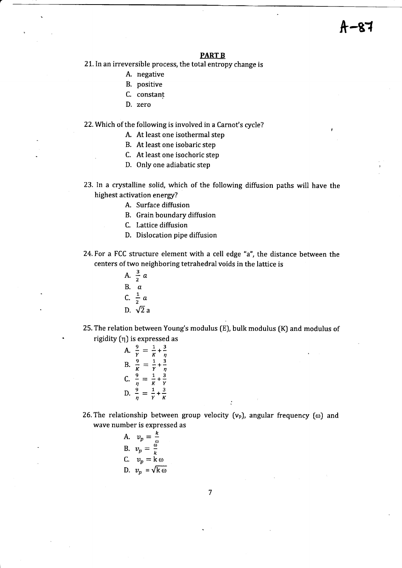#### PART B

21. In an irreversible process, the total entropy change is

- A. negative
- B. positive
- C, constant
- D. zero

22. Which of the following is involved in a Carnot's cycle?

- A. At least one isothermal step
- B. At least one isobaric step
- C. At least one isochoric step
- D. Only one adiabatic step
- 23. ln a crystalline solid, which of the following diffusion paths will have the highest activation energy?
	- A. Surface diffusion
	- B. Grain boundary diffusion
	- C. Lattice diffusion
	- D. Dislocation pipe diffusion
- 24.For a FCC structure element with a cell edge "a", the distance between the centers of two neighboring tetrahedral voids in the lattice is
	- A.  $\frac{3}{2}$  a B.  $\bar{a}$ C.  $\frac{1}{2}$  a D.  $\sqrt{2}$  a
- 25. The relation between Young's modulus (E), bulk modulus (K) and modulus of rigidity [q) is expressed as

A. 
$$
\frac{9}{Y} = \frac{1}{K} + \frac{3}{\eta}
$$
  
\nB.  $\frac{9}{K} = \frac{1}{Y} + \frac{3}{\eta}$   
\nC.  $\frac{9}{\eta} = \frac{1}{K} + \frac{3}{Y}$   
\nD.  $\frac{9}{\eta} = \frac{1}{Y} + \frac{3}{K}$ 

- 26. The relationship between group velocity ( $v_p$ ), angular frequency ( $\omega$ ) and wave number is expressed as
	- A.  $v_p = \frac{k}{a}$ B.  $v_p=\frac{\omega}{k}$ C.  $v_p = \kappa \omega$ D.  $v_p = \sqrt{k \omega}$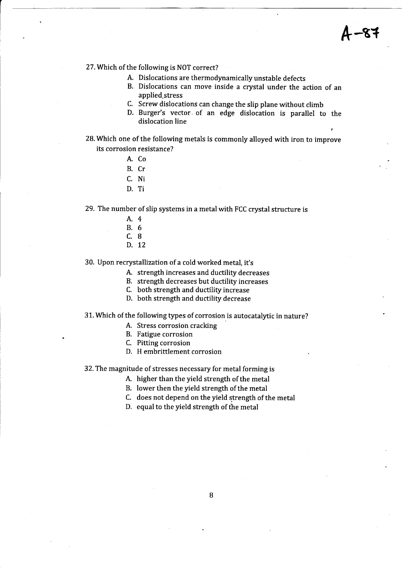#### 27. Which of the following is NOT correct?

- A. Dislocations are thermodynamically unstable defects
- B. Dislocations can move inside a crystal under the action of an applied stress
- C. Screw dislocations can change the slip plane without climb
- D. Burger's vector. of an edge dislocation is parallel to the dislocation line
- 28. Which one of the following metals is commonly alloyed with iron to improve its corrosion resistance?
	- A. Co
	- B. Cr
	- c. Ni
	- D. Ti

29. The number of slip systems in a metal with FCC crystal structure is

- 4.4
- 8.6
- c.B
- D. 12

30, Upon recrystallization of a cold worked metal, it's

- A. strength increases and ductility decreases
- B. strength decreases but ductility increases

C. both strength and ductility increase

D. both strength and ductility decrease

31. Which of the following types of corrosion is autocatalytic in nature?

- A. Stress corrosion cracking
- B. Fatigue corrosion
- C. Pitting corrosion
- D. H embrittlement corrosion

32. The magnitude of stresses necessary for metal forming is

- A. higher than the yield strength of the metal
- B. lower then the yield strength of the metal
- C. does not depend on the yield strength of the metal
- D. equal to the yield strength of the metal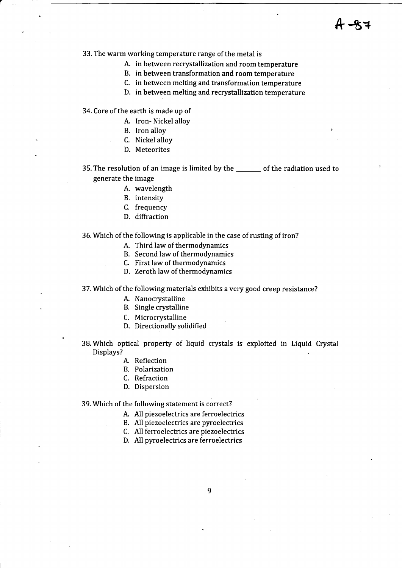33. The warm working temperature range of the metal is

- A. in between recrystallization and room temperature
- B. in between transformation and room temperature
- C. in between melting and transformation temperature
- D. in between melting and recrystallization temperature

34. Core of the earth is made up of

- A. Iron- Nickel alloy
- B. Iron alloy
- C. Nickel alloy
- D. Meteorites

35. The resolution of an image is limited by the of the radiation used to generate the image

- A. wavelength
- B. intensity
- C. frequency
- D. diffraction

#### 36. Which of the following is applicable in the case of rusting of iron?

- A. Third law of thermodynamics
- B. Second law of thermodynamics
- C. First law of thermodynamics
- D. Zeroth law of thermodynamics

37. Which of the following materials exhibits a very good creep resistance?

- A. Nanocrystalline
- B. Single crystalline
- C. Microcrystalline
- D. Directionally solidified
- 38. Which optical property of liquid crystals is exploited in Liquid Crystal Displays?
	- A. Reflection
	- B. Polarization
	- C, Refraction
	- D. Dispersion

39. Which of the following statement is correct?

A. All piezoelectrics are ferroelectrics

- B. All piezoelectrics are pyroelectrics
- C. All ferroelectrics are piezoelectrics
- D. All pyroelectrics are ferroelectrics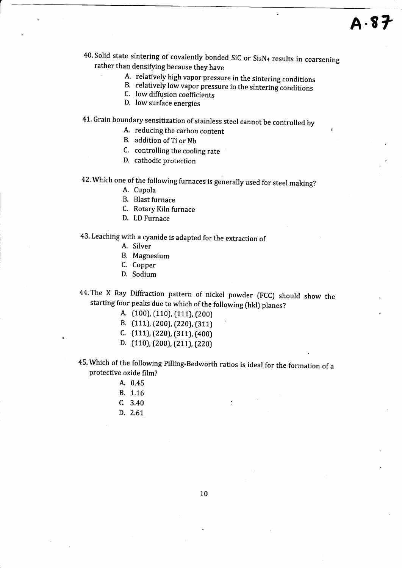- 40. Solid state sintering of covalently bonded SiC or Si3N4 results in coarsening rather than densifying because they have<br>A. relatively high vapor pressure in the sintering conditions
	-
	- B. relatively low vapor pressure in the sintering conditions C. low diffusion coefficients
	-
	- D. lowsurface energies
- 41. Grain boundary sensitization of stainless steel cannot be controlled by
	- A. reducing the carbon content
	- B. addition of Ti or Nb
	- C. controlling the cooling rate
	- D. cathodic protection
- 42. which one of the following furnaces is generally used for steel making?
	- A. Cupola
	- B. Blast furnace
	- C. Rotary Kiln furnace
	- D. LD Furnace

## 43. Leaching with a cyanide is adapted for the extraction of

- A. Silver
- B. Magnesium
- C. Copper
- D. Sodium
- 44. The X Ray Diffraction pattern of nickel powder (FCC) should show the starting four peaks due to which of the following (hkl) planes?
	- A. (100), (110), (111), (200)
	- B. (111), (200), (220), (311)
	- C. (111), (220), (311), (400)
	- D. (110), (200), (211), (220)
- 45. Which of the following Pilling-Bedworth ratios is ideal for the formation of <sup>a</sup> protective oxide film?
	- A. 0.45
	- B. 1.16
	- $C. 3.40$
	- D. 2.61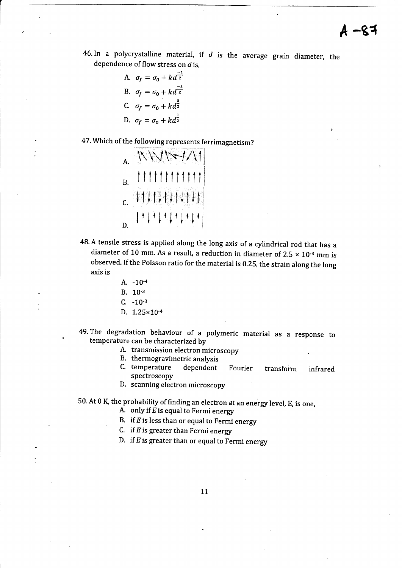46. In a polycrystalline material, if  $d$  is the average grain diameter, the dependence of flow stress on d is,

A. 
$$
\sigma_f = \sigma_0 + k \overline{d}^{\frac{-1}{2}}
$$
  
\nB.  $\sigma_f = \sigma_0 + k \overline{d}^{\frac{-3}{2}}$   
\nC.  $\sigma_f = \sigma_0 + k \overline{d}^{\frac{3}{2}}$   
\nD.  $\sigma_f = \sigma_0 + k \overline{d}^{\frac{1}{2}}$ 

47. Which of the following represents ferrimagnetism?

|    |  |  |  |  |  |  | \\\\\~\/\ |
|----|--|--|--|--|--|--|-----------|
| B. |  |  |  |  |  |  |           |
| C. |  |  |  |  |  |  |           |
|    |  |  |  |  |  |  |           |

- 48. A tensile stress is applied along the long axis of a cylindrical rod that has a diameter of 10 mm. As a result, a reduction in diameter of 2.5  $\times$  10<sup>-3</sup> mm is observed. If the Poisson ratio for the material is 0.25, the strain along the long axis is
	- A.  $-10^{-4}$
	- B. 10-3
	- $C. -10^{-3}$
	- D.  $1.25 \times 10^{-4}$
- 49. The degradation behaviour of a polymeric material as a response to temperature can be characterized by
	- A. transmission electron microscopy
	- B. thermogravimetric analysis
	- C. temperature dependent Fourier transform infrared spectroscopy
	- D. scanning electron microscopy

50. At 0 K, the probability of finding an electron at an energy level, E, is one,

A. only if  $E$  is equal to Fermi energy

- B. if  $E$  is less than or equal to Fermi energy
- C. if  $E$  is greater than Fermi energy
- D. if  $E$  is greater than or equal to Fermi energy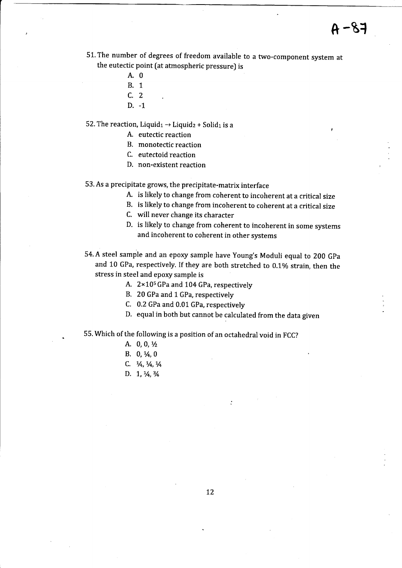t

- 51. The number of degrees of freedom available to a two-component system at the eutectic point fat atmospheric pressure) is
	- A.0
	- B. <sup>1</sup>
	- c.2
	- D. -1

52. The reaction, Liquid<sub>1</sub>  $\rightarrow$  Liquid<sub>2</sub> + Solid<sub>1</sub> is a

- A. eutectic reaction
- B. monotectic reaction
- C. eutectoid reaction
- D. non-existent reaction
- 53. As a precipitate grows, the precipitate-matrix interface
	- A. is likely to change from coherent to incoherent at a critical size
	- B. is likely to change from incoherent to coherent at a critical size
	- C. will never change its character
	- D. is likely to change from coherent to incoherent in some systems and incoherent to coherent in other systems
- 54. A steel sample and an epoxy sample have Young's Moduli equal to 200 GPa and 10 GPa, respectively. If they are both stretched to 0.1% strain, then the stress in steel and epory sample is
	- A.  $2 \times 10^5$  GPa and 104 GPa, respectively
	- B. 20 GPa and 1 GPa, respectively
	- C. 0.2 GPa and 0.01 GPa, respectively
	- D. equal in both but cannot be calculated from the data given

 $\ddot{\cdot}$ 

- 55. Which of the following is a position of an octahedral void in FCC?
	- A. 0, 0, 1/2
	- B.  $0, \frac{1}{4}$ , 0
	- C.  $\frac{1}{4}$ ,  $\frac{1}{4}$ ,  $\frac{1}{4}$
	- D.  $1, \frac{1}{4}, \frac{3}{4}$